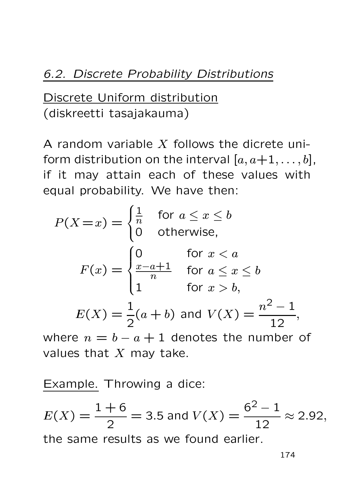Discrete Uniform distribution (diskreetti tasajakauma)

A random variable  $X$  follows the dicrete uniform distribution on the interval  $[a, a+1, \ldots, b]$ , if it may attain each of these values with equal probability. We have then:

$$
P(X=x) = \begin{cases} \frac{1}{n} & \text{for } a \leq x \leq b \\ 0 & \text{otherwise,} \end{cases}
$$
  

$$
F(x) = \begin{cases} 0 & \text{for } x < a \\ \frac{x-a+1}{n} & \text{for } a \leq x \leq b \\ 1 & \text{for } x > b, \end{cases}
$$
  

$$
E(X) = \frac{1}{2}(a+b) \text{ and } V(X) = \frac{n^2 - 1}{12},
$$

where  $n = b - a + 1$  denotes the number values that  $X$  may take.

Example. Throwing a dice:

 $E(X) = \frac{1+6}{2}$ 2  $=$  3.5 and  $V(X) = \frac{6^2 - 1}{12}$  $\frac{1}{12} \approx 2.92,$ the same results as we found earlier.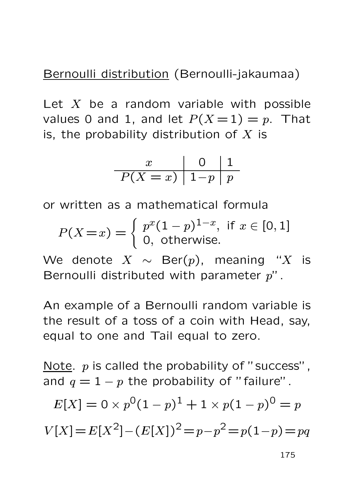Bernoulli distribution (Bernoulli-jakaumaa)

Let  $X$  be a random variable with possible values 0 and 1, and let  $P(X = 1) = p$ . That is, the probability distribution of  $X$  is

$$
\begin{array}{c|c|c}\nx & 0 & 1 \\
\hline\nP(X = x) & 1-p & p\n\end{array}
$$

or written as a mathematical formula

$$
P(X = x) = \begin{cases} p^{x}(1-p)^{1-x}, & \text{if } x \in [0,1] \\ 0, & \text{otherwise.} \end{cases}
$$

We denote  $X \sim \text{Ber}(p)$ , meaning "X is Bernoulli distributed with parameter  $p$ ".

An example of a Bernoulli random variable is the result of a toss of a coin with Head, say, equal to one and Tail equal to zero.

Note.  $p$  is called the probability of "success", and  $q = 1 - p$  the probability of "failure".

$$
E[X] = 0 \times p^{0} (1 - p)^{1} + 1 \times p(1 - p)^{0} = p
$$
  

$$
V[X] = E[X^{2}] - (E[X])^{2} = p - p^{2} = p(1 - p) = pq
$$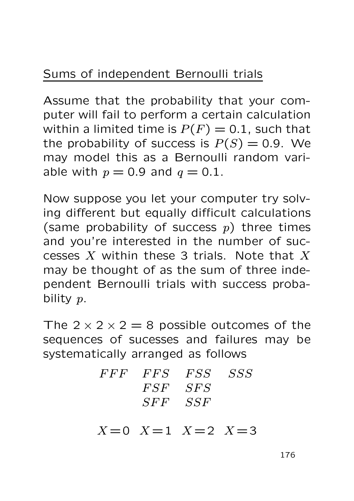## Sums of independent Bernoulli trials

Assume that the probability that your computer will fail to perform a certain calculation within a limited time is  $P(F)=0.1$ , such that the probability of success is  $P(S)=0.9$ . We may model this as a Bernoulli random variable with  $p = 0.9$  and  $q = 0.1$ .

Now suppose you let your computer try solving different but equally difficult calculations (same probability of success  $p$ ) three times and you're interested in the number of successes  $X$  within these 3 trials. Note that  $X$ may be thought of as the sum of three independent Bernoulli trials with success probability p.

The  $2 \times 2 \times 2 = 8$  possible outcomes of the sequences of sucesses and failures may be systematically arranged as follows

| FFF FFS FSS SSS |  |
|-----------------|--|
| $FSF$ $SFS$     |  |
| SFF SSF         |  |

 $X = 0$   $X = 1$   $X = 2$   $X = 3$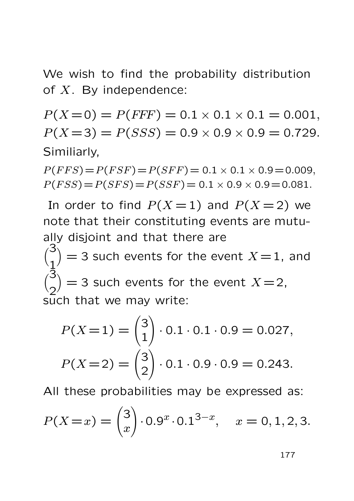We wish to find the probability distribution of  $X$ . By independence:

 $P(X=0) = P(FFF) = 0.1 \times 0.1 \times 0.1 = 0.001$ ,  $P(X=3) = P(SSS) = 0.9 \times 0.9 \times 0.9 = 0.729.$ Similiarly,

 $P(FFS) = P(FSF) = P(SFF) = 0.1 \times 0.1 \times 0.9 = 0.009$ ,  $P(FSS) = P(SFS) = P(SSF) = 0.1 \times 0.9 \times 0.9 = 0.081.$ 

In order to find  $P(X = 1)$  and  $P(X = 2)$  we note that their constituting events are mutually disjoint and that there are  $\sqrt{3}$ 1  $\hat{Q} = 3$  such events for the event  $X = 1$ , and  $\sqrt{3}$ 2  $\overline{ }$  $=$  3 such events for the event  $X = 2$ , such that we may write:

$$
P(X=1) = \binom{3}{1} \cdot 0.1 \cdot 0.1 \cdot 0.9 = 0.027,
$$
  

$$
P(X=2) = \binom{3}{2} \cdot 0.1 \cdot 0.9 \cdot 0.9 = 0.243.
$$

All these probabilities may be expressed as:

$$
P(X=x) = \binom{3}{x} \cdot 0.9^x \cdot 0.1^{3-x}, \quad x = 0, 1, 2, 3.
$$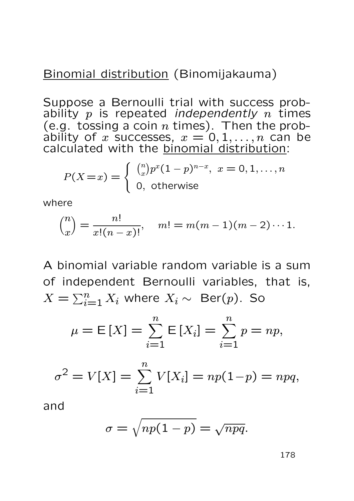### Binomial distribution (Binomijakauma)

Suppose a Bernoulli trial with success probability  $p$  is repeated *independently n* times (e.g. tossing a coin  $n$  times). Then the probability of  $x$  successes,  $x = 0, 1, \ldots, n$  can be calculated with the **binomial distribution**:

$$
P(X=x) = \begin{cases} {n \choose x} p^x (1-p)^{n-x}, & x = 0, 1, \dots, n \\ 0, & \text{otherwise} \end{cases}
$$

where

$$
\binom{n}{x} = \frac{n!}{x!(n-x)!}, \quad m! = m(m-1)(m-2)\cdots 1.
$$

A binomial variable random variable is a sum of independent Bernoulli variables, that is,  $X = \sum_{i=1}^{n} X_i$  where  $X_i \sim \text{Ber}(p)$ . So

$$
\mu = \mathsf{E}[X] = \sum_{i=1}^{n} \mathsf{E}[X_i] = \sum_{i=1}^{n} p = np,
$$

$$
\sigma^{2} = V[X] = \sum_{i=1}^{n} V[X_{i}] = np(1-p) = npq,
$$

and

$$
\sigma = \sqrt{np(1-p)} = \sqrt{npq}.
$$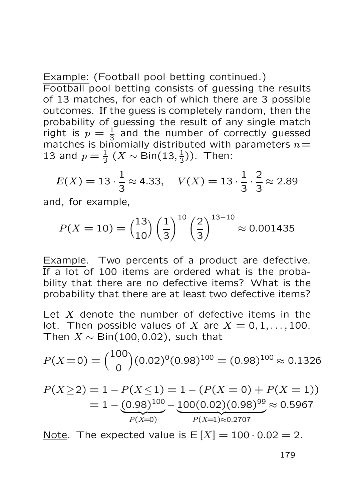Example: (Football pool betting continued.) Football pool betting consists of guessing the results of 13 matches, for each of which there are 3 possible outcomes. If the guess is completely random, then the probability of guessing the result of any single match right is  $p = \frac{1}{3}$  and the number of correctly guessed matches is binomially distributed with parameters  $n=$ 13 and  $p = \frac{1}{3} (X \sim \text{Bin}(13, \frac{1}{3}))$ . Then:

$$
E(X) = 13 \cdot \frac{1}{3} \approx 4.33, \quad V(X) = 13 \cdot \frac{1}{3} \cdot \frac{2}{3} \approx 2.89
$$

and, for example,

$$
P(X = 10) = {13 \choose 10} \left(\frac{1}{3}\right)^{10} \left(\frac{2}{3}\right)^{13-10} \approx 0.001435
$$

Example. Two percents of a product are defective. If a lot of 100 items are ordered what is the probability that there are no defective items? What is the probability that there are at least two defective items?

Let  $X$  denote the number of defective items in the lot. Then possible values of X are  $X = 0, 1, \ldots, 100$ . Then  $X \sim \text{Bin}(100, 0.02)$ , such that

$$
P(X=0) = {100 \choose 0} (0.02)^0 (0.98)^{100} = (0.98)^{100} \approx 0.1326
$$

$$
P(X \ge 2) = 1 - P(X \le 1) = 1 - (P(X = 0) + P(X = 1))
$$
  
= 1 - (0.98)<sup>100</sup> - 100(0.02)(0.98)<sup>99</sup> \approx 0.5967  

$$
P(X=1) \approx 0.2707
$$

Note. The expected value is  $E[X] = 100 \cdot 0.02 = 2$ .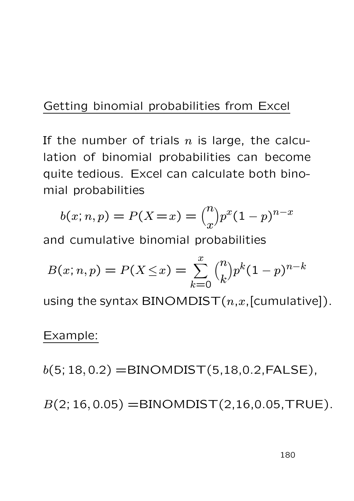### Getting binomial probabilities from Excel

If the number of trials  $n$  is large, the calculation of binomial probabilities can become quite tedious. Excel can calculate both binomial probabilities

$$
b(x; n, p) = P(X = x) = {n \choose x} p^{x} (1-p)^{n-x}
$$

and cumulative binomial probabilities

$$
B(x; n, p) = P(X \le x) = \sum_{k=0}^{x} {n \choose k} p^k (1-p)^{n-k}
$$

using the syntax BINOMDIST $(n,x,[cumulative])$ .

#### Example:

 $b(5; 18, 0.2) = BINOMDIST(5, 18, 0.2, FALSE),$ 

 $B(2; 16, 0.05) =$ BINOMDIST $(2, 16, 0.05, \text{TRUE})$ .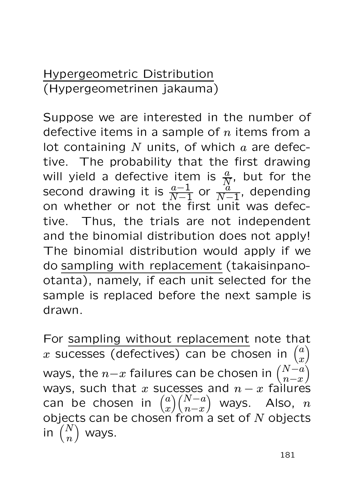Hypergeometric Distribution (Hypergeometrinen jakauma)

Suppose we are interested in the number of defective items in a sample of  $n$  items from a lot containing  $N$  units, of which  $a$  are defective. The probability that the first drawing will yield a defective item is  $\frac{a}{N}$ , but for the second drawing it is  $\frac{a-1}{N-1}$  or  $\frac{a}{N-1}$ , depending<br>en whether er not the first unit was defect on whether or not the first unit was defective. Thus, the trials are not independent and the binomial distribution does not apply! The binomial distribution would apply if we do sampling with replacement (takaisinpanootanta), namely, if each unit selected for the sample is replaced before the next sample is drawn.

For sampling without replacement note that x sucesses (defectives) can be chosen in  $\binom{a}{x}$  $\boldsymbol{x}$  $\overline{\phantom{a}}$ ways, the  $n{-}x$  failures can be chosen in  $\binom{N{-}a}{n{-}x}$  $n-x$  $\Lambda$ ways, such that x sucesses and  $n-x$  failures can be chosen in  $\binom{a}{x}$  $\boldsymbol{x}$  $\binom{N-a}{n}$  $n-x$ ) ways. Also,  $n$ objects can be chosen from a set of  $N$  objects in  $\left(\begin{matrix}N\\n\end{matrix}\right)$  $\overline{n}$ ) ways.

181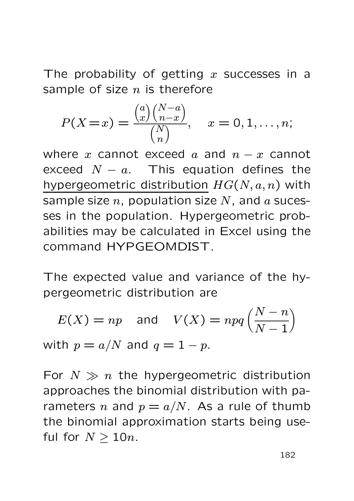The probability of getting x successes in a sample of size  $n$  is therefore

$$
P(X = x) = \frac{\binom{a}{x} \binom{N-a}{n-x}}{\binom{N}{n}}, \quad x = 0, 1, \dots, n;
$$

where x cannot exceed a and  $n - x$  cannot exceed  $N - a$ . This equation defines the hypergeometric distribution  $HG(N, a, n)$  with sample size  $n$ , population size  $N$ , and  $\alpha$  sucesses in the population. Hypergeometric probabilities may be calculated in Excel using the command HYPGEOMDIST.

The expected value and variance of the hypergeometric distribution are

$$
E(X) = np \text{ and } V(X) = npq\left(\frac{N-n}{N-1}\right)
$$
  
with  $p = a/N$  and  $q = 1 - p$ .

For  $N \gg n$  the hypergeometric distribution approaches the binomial distribution with parameters n and  $p = a/N$ . As a rule of thumb the binomial approximation starts being useful for  $N > 10n$ .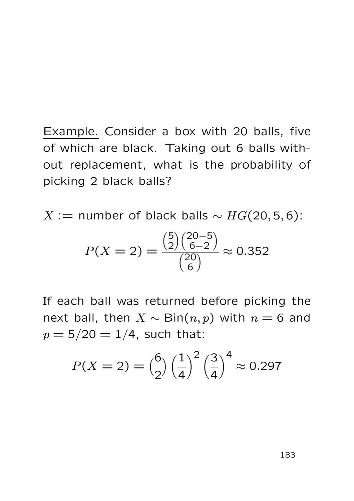Example. Consider a box with 20 balls, five of which are black. Taking out 6 balls without replacement, what is the probability of picking 2 black balls?

 $X :=$  number of black balls  $\sim HG(20, 5, 6)$ :

$$
P(X=2) = \frac{\binom{5}{2}\binom{20-5}{6-2}}{\binom{20}{6}} \approx 0.352
$$

If each ball was returned before picking the next ball, then  $X \sim \text{Bin}(n, p)$  with  $n = 6$  and  $p = 5/20 = 1/4$ , such that:

$$
P(X = 2) = {6 \choose 2} \left(\frac{1}{4}\right)^2 \left(\frac{3}{4}\right)^4 \approx 0.297
$$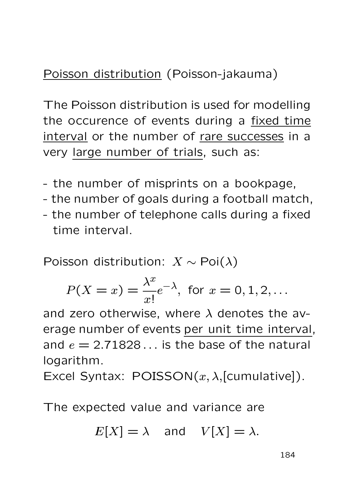# Poisson distribution (Poisson-jakauma)

The Poisson distribution is used for modelling the occurence of events during a fixed time interval or the number of rare successes in a very large number of trials, such as:

- the number of misprints on a bookpage,
- the number of goals during a football match,
- the number of telephone calls during a fixed time interval.

Poisson distribution:  $X \sim \text{Poi}(\lambda)$ 

$$
P(X = x) = \frac{\lambda^x}{x!}e^{-\lambda}
$$
, for  $x = 0, 1, 2, ...$ 

and zero otherwise, where  $\lambda$  denotes the average number of events per unit time interval, and  $e = 2.71828...$  is the base of the natural logarithm.

Excel Syntax:  $POISSON(x, \lambda,$ [cumulative]).

The expected value and variance are

 $E[X] = \lambda$  and  $V[X] = \lambda$ .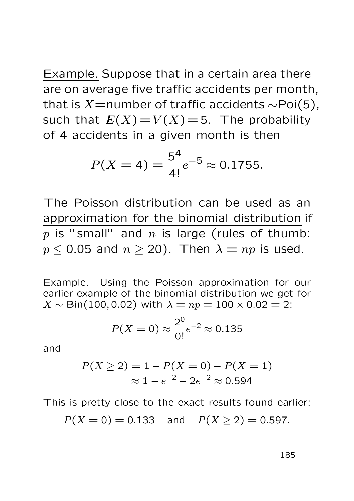Example. Suppose that in a certain area there are on average five traffic accidents per month, that is  $X=$ number of traffic accidents  $\sim$ Poi(5), such that  $E(X) = V(X) = 5$ . The probability of 4 accidents in a given month is then

$$
P(X = 4) = \frac{5^4}{4!}e^{-5} \approx 0.1755.
$$

The Poisson distribution can be used as an approximation for the binomial distribution if  $p$  is "small" and  $n$  is large (rules of thumb:  $p < 0.05$  and  $n > 20$ ). Then  $\lambda = np$  is used.

Example. Using the Poisson approximation for our earlier example of the binomial distribution we get for  $X \sim$  Bin(100, 0.02) with  $\lambda = np = 100 \times 0.02 = 2$ :

$$
P(X = 0) \approx \frac{2^0}{0!} e^{-2} \approx 0.135
$$

and

$$
P(X \ge 2) = 1 - P(X = 0) - P(X = 1)
$$
  

$$
\approx 1 - e^{-2} - 2e^{-2} \approx 0.594
$$

This is pretty close to the exact results found earlier:

$$
P(X = 0) = 0.133
$$
 and  $P(X \ge 2) = 0.597$ .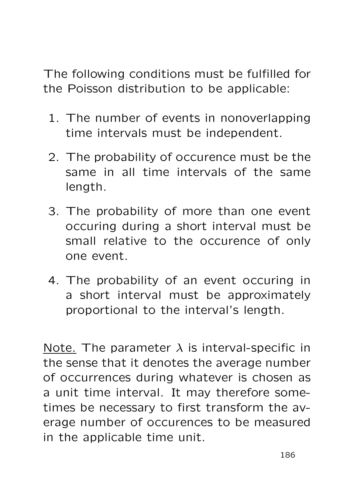The following conditions must be fulfilled for the Poisson distribution to be applicable:

- 1. The number of events in nonoverlapping time intervals must be independent.
- 2. The probability of occurence must be the same in all time intervals of the same length.
- 3. The probability of more than one event occuring during a short interval must be small relative to the occurence of only one event.
- 4. The probability of an event occuring in a short interval must be approximately proportional to the interval's length.

Note. The parameter  $\lambda$  is interval-specific in the sense that it denotes the average number of occurrences during whatever is chosen as a unit time interval. It may therefore sometimes be necessary to first transform the average number of occurences to be measured in the applicable time unit.